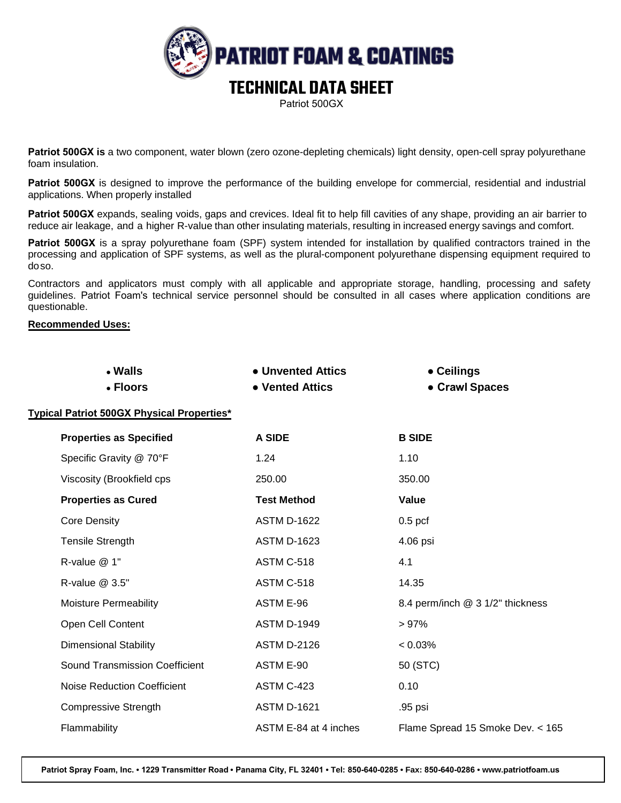

**Patriot 500GX is** a two component, water blown (zero ozone-depleting chemicals) light density, open-cell spray polyurethane foam insulation.

**Patriot 500GX** is designed to improve the performance of the building envelope for commercial, residential and industrial applications. When properly installed

**Patriot 500GX** expands, sealing voids, gaps and crevices. Ideal fit to help fill cavities of any shape, providing an air barrier to reduce air leakage, and a higher R-value than other insulating materials, resulting in increased energy savings and comfort.

**Patriot 500GX** is a spray polyurethane foam (SPF) system intended for installation by qualified contractors trained in the processing and application of SPF systems, as well as the plural-component polyurethane dispensing equipment required to doso.

Contractors and applicators must comply with all applicable and appropriate storage, handling, processing and safety guidelines. Patriot Foam's technical service personnel should be consulted in all cases where application conditions are questionable.

# **Recommended Uses:**

| • Walls<br>• Floors                               | • Unvented Attics<br>• Vented Attics | • Ceilings<br>• Crawl Spaces     |
|---------------------------------------------------|--------------------------------------|----------------------------------|
| <b>Typical Patriot 500GX Physical Properties*</b> |                                      |                                  |
| <b>Properties as Specified</b>                    | A SIDE                               | <b>B SIDE</b>                    |
| Specific Gravity @ 70°F                           | 1.24                                 | 1.10                             |
| Viscosity (Brookfield cps                         | 250.00                               | 350.00                           |
| <b>Properties as Cured</b>                        | <b>Test Method</b>                   | Value                            |
| <b>Core Density</b>                               | <b>ASTM D-1622</b>                   | $0.5$ pcf                        |
| <b>Tensile Strength</b>                           | <b>ASTM D-1623</b>                   | 4.06 psi                         |
| R-value @ 1"                                      | ASTM C-518                           | 4.1                              |
| R-value @ 3.5"                                    | ASTM C-518                           | 14.35                            |
| Moisture Permeability                             | ASTM E-96                            | 8.4 perm/inch @ 3 1/2" thickness |
| Open Cell Content                                 | <b>ASTM D-1949</b>                   | >97%                             |
| <b>Dimensional Stability</b>                      | <b>ASTM D-2126</b>                   | $< 0.03\%$                       |
| <b>Sound Transmission Coefficient</b>             | ASTM E-90                            | 50 (STC)                         |
| <b>Noise Reduction Coefficient</b>                | ASTM C-423                           | 0.10                             |
| <b>Compressive Strength</b>                       | <b>ASTM D-1621</b>                   | .95 psi                          |
| Flammability                                      | ASTM E-84 at 4 inches                | Flame Spread 15 Smoke Dev. < 165 |